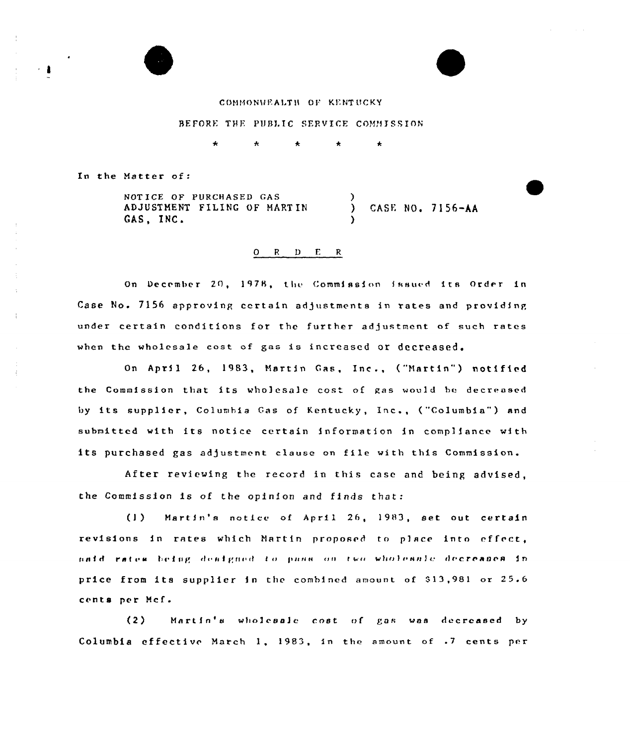#### COMMONWEALTH OF KENTUCKY

#### BEFORE THE PUBLIC SERVICE COMMISSION

ŧ

In the Matter of

NOT ICE OF PURCHASED GAS ADJUSTHENT FILING OF HART IN GAS, INC. ) CASE NO. 7156-AA )

## Q R D E R

On December 20, 1978, the Commission issued its Order in Case No. 7156 approving certain adjustments in rates and providing under certain conditions for the further adjustment of such rates when the wholesale cost of gas is increased or decreased.

On April 26, 1983, Martin Gas, Inc., ("Martin") notified the Commission that its wholesale cost of gas would be decreased by its supplier, Columbia Gas of Kentucky, Inc., ("Columbia") and submitted with its notice certain information in compliance with its purchased gas adjustment clause on file with this Commission. ines

After reviewing the record in this case and being advised, the Commission is of the opinion and finds that:

(1) Martin's notice of April 26, 1983, set out certain revisions in rates which Martin proposed to place into cffret, rates being dealgned to pass on two wholesale de<mark>creases i</mark>n price from its supplier in the combined amount of \$13,981 or 25.6 cents per Mcf.

(2) Martin's wholesale cost of gas was decreased by Columbia effective Match 1. 1983, in the amount of .7 cents per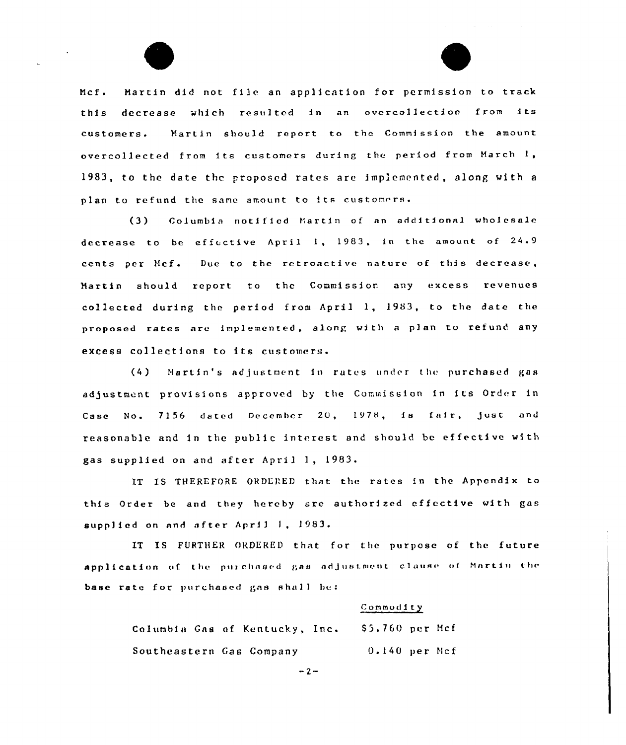



Mcf. Martin did not file an application for permission to track this decrease which resulted in an overcollection from its customers. Martin should report to the Commission the amount overcollected from its customers during the period from March 1, 1983, to the date the proposed rates are implemented, along with <sup>a</sup> plan to refund the same amount to its customers.

(3} Columbia notified Martin of an additional wholesale decrease to be effective April 1, 1983, in the amount of  $24.9$ cents per Mcf. Due to the retroactive nature of this decrease, Martin should report to the Commission any excess revenues collected during the period from April 1, 1983, to the date the proposed rates are implemented, along with a plan to refund any excess collections to its customers.

(4) Martin's adjustment in rates under the purchased gas adjustment provisions approved by the Commission in its Order in Case No. 7156 dated December 20, 1978, is fair, just and reasonable and in the public interest and should be ef fecti ve with gas supplied on and after April 1, 1983.

IT IS THEREFORE ORDERED that the rates in the Appendix to this Order be and they hereby are authorized effective with gas supplied on and after April 1, 1983.

IT IS FURTHER ORDERED that for the purpose of the future application of the purchased gas adjustment clause of Martin the base rate for purchased gas shall be:

#### Commodity

Columbia Gas of Kentucky, Inc. 55.760 per Mcf Southeastern Gas Company 0.140 per Ncf

 $-2-$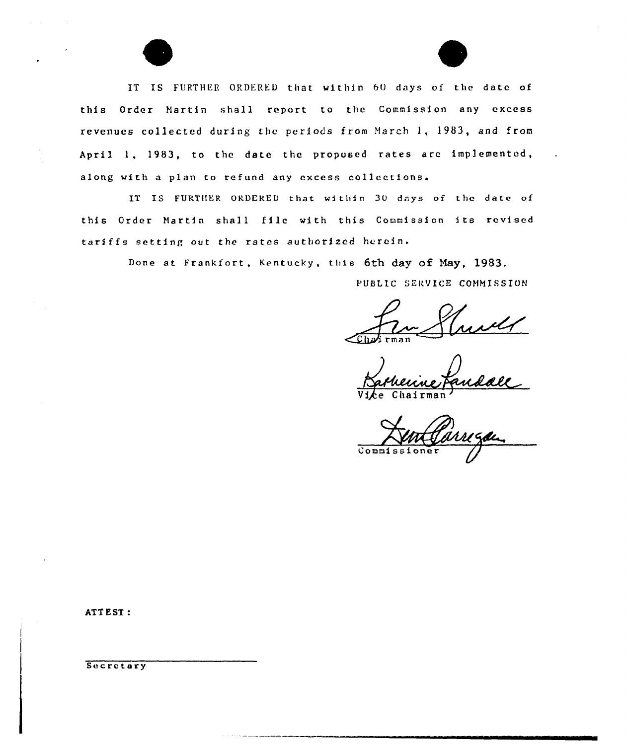IT IS FURTHER ORDERED that within 6O days of the date of this Order Hartin shall report to the Commission any excess revenues collected during the periods from March 1, 1983, and from April 1, 1983, to the date the proposed rates are implemented, along with a plan to refund any excess collections.

IT IS FURTHER ORDERED that within 30 days of the date of this Order Martin shall file with this Commission its revised tariffs setting out the rates authorized herein.

Done at Frankfort, Kentucky, this 6th day of May, 1983.

PUBLIC SERVICE COMMISSION

 $\epsilon$ hatirma

Vice Chairman

Commissioner

ATTEST:

**Secretary**